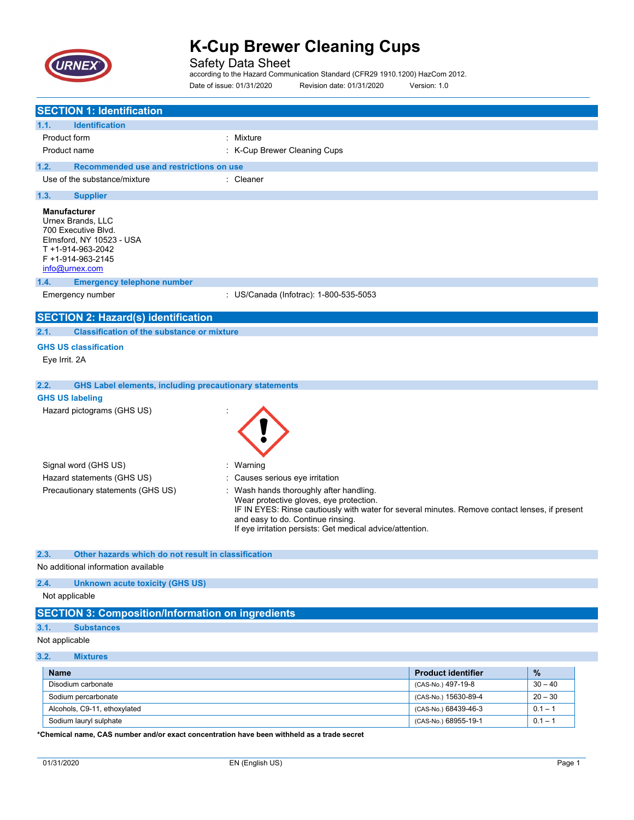

Safety Data Sheet according to the Hazard Communication Standard (CFR29 1910.1200) HazCom 2012. Date of issue: 01/31/2020 Revision date: 01/31/2020 Version: 1.0

| <b>SECTION 1: Identification</b>                                                                                                                        |                                                                                                                                                                                                                                                                                      |
|---------------------------------------------------------------------------------------------------------------------------------------------------------|--------------------------------------------------------------------------------------------------------------------------------------------------------------------------------------------------------------------------------------------------------------------------------------|
| 1.1.<br><b>Identification</b>                                                                                                                           |                                                                                                                                                                                                                                                                                      |
| Product form                                                                                                                                            | : Mixture                                                                                                                                                                                                                                                                            |
| Product name                                                                                                                                            | : K-Cup Brewer Cleaning Cups                                                                                                                                                                                                                                                         |
|                                                                                                                                                         |                                                                                                                                                                                                                                                                                      |
| 1.2.<br>Recommended use and restrictions on use<br>Use of the substance/mixture                                                                         | : Cleaner                                                                                                                                                                                                                                                                            |
|                                                                                                                                                         |                                                                                                                                                                                                                                                                                      |
| 1.3.<br><b>Supplier</b>                                                                                                                                 |                                                                                                                                                                                                                                                                                      |
| <b>Manufacturer</b><br>Urnex Brands, LLC<br>700 Executive Blvd.<br>Elmsford, NY 10523 - USA<br>T +1-914-963-2042<br>F +1-914-963-2145<br>info@urnex.com |                                                                                                                                                                                                                                                                                      |
| 1.4.<br><b>Emergency telephone number</b>                                                                                                               |                                                                                                                                                                                                                                                                                      |
| Emergency number                                                                                                                                        | : US/Canada (Infotrac): 1-800-535-5053                                                                                                                                                                                                                                               |
| <b>SECTION 2: Hazard(s) identification</b>                                                                                                              |                                                                                                                                                                                                                                                                                      |
| 2.1.<br><b>Classification of the substance or mixture</b>                                                                                               |                                                                                                                                                                                                                                                                                      |
| <b>GHS US classification</b>                                                                                                                            |                                                                                                                                                                                                                                                                                      |
| Eye Irrit. 2A                                                                                                                                           |                                                                                                                                                                                                                                                                                      |
|                                                                                                                                                         |                                                                                                                                                                                                                                                                                      |
| 2.2.<br><b>GHS Label elements, including precautionary statements</b>                                                                                   |                                                                                                                                                                                                                                                                                      |
| <b>GHS US labeling</b>                                                                                                                                  |                                                                                                                                                                                                                                                                                      |
| Hazard pictograms (GHS US)                                                                                                                              |                                                                                                                                                                                                                                                                                      |
| Signal word (GHS US)                                                                                                                                    | : Warning                                                                                                                                                                                                                                                                            |
| Hazard statements (GHS US)                                                                                                                              | Causes serious eye irritation                                                                                                                                                                                                                                                        |
| Precautionary statements (GHS US)                                                                                                                       | Wash hands thoroughly after handling.<br>Wear protective gloves, eye protection.<br>IF IN EYES: Rinse cautiously with water for several minutes. Remove contact lenses, if present<br>and easy to do. Continue rinsing.<br>If eye irritation persists: Get medical advice/attention. |
| Other hazards which do not result in classification<br>2.3.                                                                                             |                                                                                                                                                                                                                                                                                      |
| No additional information available                                                                                                                     |                                                                                                                                                                                                                                                                                      |
| 2.4.<br><b>Unknown acute toxicity (GHS US)</b>                                                                                                          |                                                                                                                                                                                                                                                                                      |
| Not applicable                                                                                                                                          |                                                                                                                                                                                                                                                                                      |
| <b>SECTION 3: Composition/Information on ingredients</b>                                                                                                |                                                                                                                                                                                                                                                                                      |

### **3.1. Substances**

Not applicable

### **3.2. Mixtures**

| <b>Name</b>                  | <b>Product identifier</b> | %         |
|------------------------------|---------------------------|-----------|
| Disodium carbonate           | (CAS-No.) 497-19-8        | $30 - 40$ |
| Sodium percarbonate          | (CAS-No.) 15630-89-4      | $20 - 30$ |
| Alcohols, C9-11, ethoxylated | (CAS-No.) 68439-46-3      | $0.1 - 1$ |
| Sodium lauryl sulphate       | (CAS-No.) 68955-19-1      | $0.1 - 1$ |

**\*Chemical name, CAS number and/or exact concentration have been withheld as a trade secret**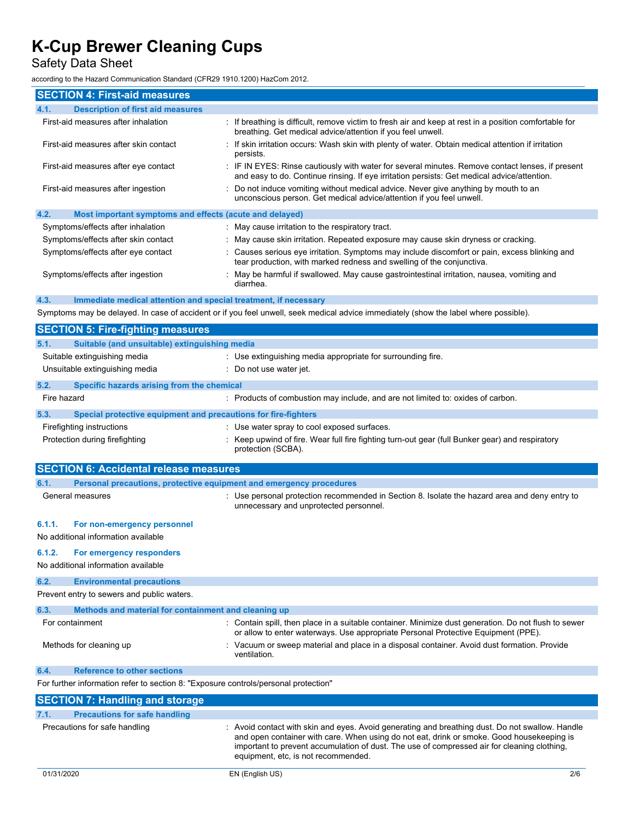Safety Data Sheet

according to the Hazard Communication Standard (CFR29 1910.1200) HazCom 2012.

| <b>SECTION 4: First-aid measures</b>                                                                                                 |                                                                                                                                                                                               |  |
|--------------------------------------------------------------------------------------------------------------------------------------|-----------------------------------------------------------------------------------------------------------------------------------------------------------------------------------------------|--|
| <b>Description of first aid measures</b><br>4.1.                                                                                     |                                                                                                                                                                                               |  |
| First-aid measures after inhalation                                                                                                  | If breathing is difficult, remove victim to fresh air and keep at rest in a position comfortable for<br>breathing. Get medical advice/attention if you feel unwell.                           |  |
| First-aid measures after skin contact                                                                                                | If skin irritation occurs: Wash skin with plenty of water. Obtain medical attention if irritation<br>persists.                                                                                |  |
| First-aid measures after eye contact                                                                                                 | IF IN EYES: Rinse cautiously with water for several minutes. Remove contact lenses, if present<br>and easy to do. Continue rinsing. If eye irritation persists: Get medical advice/attention. |  |
| First-aid measures after ingestion                                                                                                   | Do not induce vomiting without medical advice. Never give anything by mouth to an<br>unconscious person. Get medical advice/attention if you feel unwell.                                     |  |
| 4.2.<br>Most important symptoms and effects (acute and delayed)                                                                      |                                                                                                                                                                                               |  |
| Symptoms/effects after inhalation                                                                                                    | May cause irritation to the respiratory tract.                                                                                                                                                |  |
| Symptoms/effects after skin contact                                                                                                  | May cause skin irritation. Repeated exposure may cause skin dryness or cracking.                                                                                                              |  |
| Symptoms/effects after eye contact                                                                                                   | Causes serious eye irritation. Symptoms may include discomfort or pain, excess blinking and<br>tear production, with marked redness and swelling of the conjunctiva.                          |  |
| Symptoms/effects after ingestion                                                                                                     | May be harmful if swallowed. May cause gastrointestinal irritation, nausea, vomiting and<br>diarrhea.                                                                                         |  |
| 4.3.<br>Immediate medical attention and special treatment, if necessary                                                              |                                                                                                                                                                                               |  |
| Symptoms may be delayed. In case of accident or if you feel unwell, seek medical advice immediately (show the label where possible). |                                                                                                                                                                                               |  |
| <b>SECTION 5: Fire-fighting measures</b>                                                                                             |                                                                                                                                                                                               |  |
| Suitable (and unsuitable) extinguishing media<br>5.1.                                                                                |                                                                                                                                                                                               |  |
| Suitable extinguishing media                                                                                                         | : Use extinguishing media appropriate for surrounding fire.                                                                                                                                   |  |
| Unsuitable extinguishing media                                                                                                       | Do not use water jet.                                                                                                                                                                         |  |
| 5.2.<br>Specific hazards arising from the chemical                                                                                   |                                                                                                                                                                                               |  |
| Fire hazard                                                                                                                          | : Products of combustion may include, and are not limited to: oxides of carbon.                                                                                                               |  |
| 5.3.<br>Special protective equipment and precautions for fire-fighters                                                               |                                                                                                                                                                                               |  |
| Firefighting instructions                                                                                                            | : Use water spray to cool exposed surfaces.                                                                                                                                                   |  |
|                                                                                                                                      |                                                                                                                                                                                               |  |

| Firelighting instructions      | Use water spray to coor exposed surfaces.                                                                             |
|--------------------------------|-----------------------------------------------------------------------------------------------------------------------|
| Protection during firefighting | : Keep upwind of fire. Wear full fire fighting turn-out gear (full Bunker gear) and respiratory<br>protection (SCBA). |
|                                |                                                                                                                       |

|        | <b>SECTION 6: Accidental release measures</b>                                       |                                                                                                                                                                                              |
|--------|-------------------------------------------------------------------------------------|----------------------------------------------------------------------------------------------------------------------------------------------------------------------------------------------|
| 6.1.   | Personal precautions, protective equipment and emergency procedures                 |                                                                                                                                                                                              |
|        | General measures                                                                    | : Use personal protection recommended in Section 8. Isolate the hazard area and deny entry to<br>unnecessary and unprotected personnel.                                                      |
| 6.1.1. | For non-emergency personnel                                                         |                                                                                                                                                                                              |
|        | No additional information available                                                 |                                                                                                                                                                                              |
| 6.1.2. | For emergency responders                                                            |                                                                                                                                                                                              |
|        | No additional information available                                                 |                                                                                                                                                                                              |
| 6.2.   | <b>Environmental precautions</b>                                                    |                                                                                                                                                                                              |
|        | Prevent entry to sewers and public waters.                                          |                                                                                                                                                                                              |
| 6.3.   | Methods and material for containment and cleaning up                                |                                                                                                                                                                                              |
|        | For containment                                                                     | : Contain spill, then place in a suitable container. Minimize dust generation. Do not flush to sewer<br>or allow to enter waterways. Use appropriate Personal Protective Equipment (PPE).    |
|        | Methods for cleaning up                                                             | : Vacuum or sweep material and place in a disposal container. Avoid dust formation. Provide<br>ventilation.                                                                                  |
| 6.4.   | <b>Reference to other sections</b>                                                  |                                                                                                                                                                                              |
|        | For further information refer to section 8: "Exposure controls/personal protection" |                                                                                                                                                                                              |
|        | <b>SECTION 7: Handling and storage</b>                                              |                                                                                                                                                                                              |
| 7.1.   | <b>Precautions for safe handling</b>                                                |                                                                                                                                                                                              |
|        | Precautions for safe handling                                                       | : Avoid contact with skin and eyes. Avoid generating and breathing dust. Do not swallow. Handle<br>and open container with care. When using do not eat, drink or smoke. Good housekeeping is |

equipment, etc, is not recommended.

important to prevent accumulation of dust. The use of compressed air for cleaning clothing,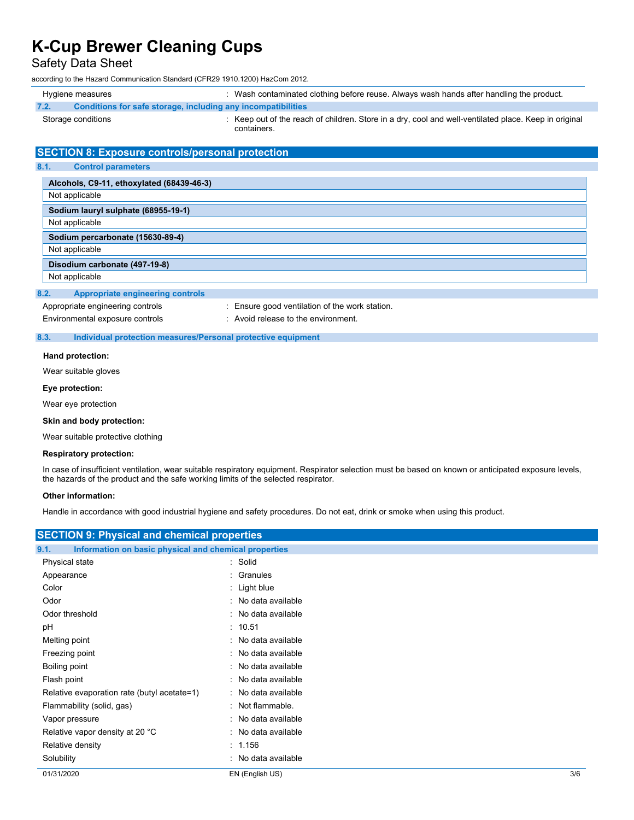### Safety Data Sheet

according to the Hazard Communication Standard (CFR29 1910.1200) HazCom 2012.

| Hygiene measures                                                     | : Wash contaminated clothing before reuse. Always wash hands after handling the product.                             |
|----------------------------------------------------------------------|----------------------------------------------------------------------------------------------------------------------|
| Conditions for safe storage, including any incompatibilities<br>7.2. |                                                                                                                      |
| Storage conditions                                                   | : Keep out of the reach of children. Store in a dry, cool and well-ventilated place. Keep in original<br>containers. |
| <b>SECTION 8: Exposure controls/personal protection</b>              |                                                                                                                      |
| 8.1.<br><b>Control parameters</b>                                    |                                                                                                                      |
| Alcohols, C9-11, ethoxylated (68439-46-3)                            |                                                                                                                      |
| Not applicable                                                       |                                                                                                                      |
| Sodium lauryl sulphate (68955-19-1)                                  |                                                                                                                      |
| Not applicable                                                       |                                                                                                                      |
| Sodium percarbonate (15630-89-4)                                     |                                                                                                                      |
| Not applicable                                                       |                                                                                                                      |
| Disodium carbonate (497-19-8)                                        |                                                                                                                      |
| Not applicable                                                       |                                                                                                                      |
| <b>Appropriate engineering controls</b><br>8.2.                      |                                                                                                                      |
| Appropriate engineering controls                                     | : Ensure good ventilation of the work station.                                                                       |
| Environmental exposure controls                                      | : Avoid release to the environment.                                                                                  |

#### **8.3. Individual protection measures/Personal protective equipment**

#### **Hand protection:**

Wear suitable gloves

#### **Eye protection:**

Wear eye protection

#### **Skin and body protection:**

Wear suitable protective clothing

#### **Respiratory protection:**

In case of insufficient ventilation, wear suitable respiratory equipment. Respirator selection must be based on known or anticipated exposure levels, the hazards of the product and the safe working limits of the selected respirator.

#### **Other information:**

Handle in accordance with good industrial hygiene and safety procedures. Do not eat, drink or smoke when using this product.

| <b>SECTION 9: Physical and chemical properties</b>            |                     |     |  |
|---------------------------------------------------------------|---------------------|-----|--|
| Information on basic physical and chemical properties<br>9.1. |                     |     |  |
| Physical state                                                | : Solid             |     |  |
| Appearance                                                    | : Granules          |     |  |
| Color                                                         | $:$ Light blue      |     |  |
| Odor                                                          | : No data available |     |  |
| Odor threshold                                                | : No data available |     |  |
| pH                                                            | : 10.51             |     |  |
| Melting point                                                 | : No data available |     |  |
| Freezing point                                                | : No data available |     |  |
| Boiling point                                                 | : No data available |     |  |
| Flash point                                                   | : No data available |     |  |
| Relative evaporation rate (butyl acetate=1)                   | : No data available |     |  |
| Flammability (solid, gas)                                     | : Not flammable.    |     |  |
| Vapor pressure                                                | : No data available |     |  |
| Relative vapor density at 20 °C                               | : No data available |     |  |
| Relative density                                              | : 1.156             |     |  |
| Solubility                                                    | : No data available |     |  |
| 01/31/2020                                                    | EN (English US)     | 3/6 |  |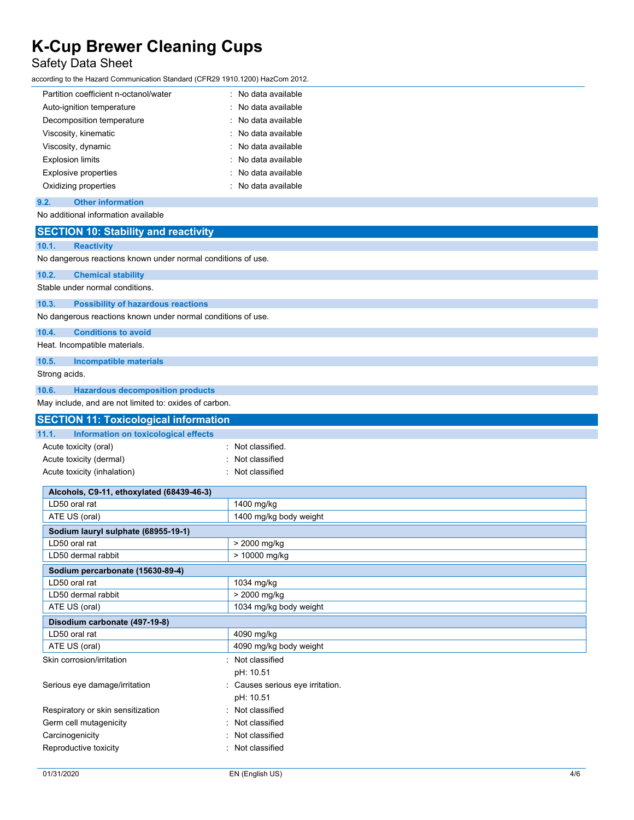### Safety Data Sheet

according to the Hazard Communication Standard (CFR29 1910.1200) HazCom 2012.

| Partition coefficient n-octanol/water | : No data available   |
|---------------------------------------|-----------------------|
| Auto-ignition temperature             | : No data available   |
| Decomposition temperature             | : No data available   |
| Viscosity, kinematic                  | $:$ No data available |
| Viscosity, dynamic                    | : No data available   |
| <b>Explosion limits</b>               | $:$ No data available |
| <b>Explosive properties</b>           | $:$ No data available |
| Oxidizing properties                  | $:$ No data available |

### **9.2. Other information**

No additional information available

| 10.1.<br><b>Reactivity</b><br>No dangerous reactions known under normal conditions of use.<br>10.2.<br><b>Chemical stability</b><br>Stable under normal conditions.<br>10.3.<br><b>Possibility of hazardous reactions</b><br>No dangerous reactions known under normal conditions of use.<br>10.4.<br><b>Conditions to avoid</b><br>Heat. Incompatible materials.<br>10.5.<br><b>Incompatible materials</b><br>Strong acids.<br>10.6.<br><b>Hazardous decomposition products</b> |  |
|----------------------------------------------------------------------------------------------------------------------------------------------------------------------------------------------------------------------------------------------------------------------------------------------------------------------------------------------------------------------------------------------------------------------------------------------------------------------------------|--|
|                                                                                                                                                                                                                                                                                                                                                                                                                                                                                  |  |
|                                                                                                                                                                                                                                                                                                                                                                                                                                                                                  |  |
|                                                                                                                                                                                                                                                                                                                                                                                                                                                                                  |  |
|                                                                                                                                                                                                                                                                                                                                                                                                                                                                                  |  |
|                                                                                                                                                                                                                                                                                                                                                                                                                                                                                  |  |
|                                                                                                                                                                                                                                                                                                                                                                                                                                                                                  |  |
|                                                                                                                                                                                                                                                                                                                                                                                                                                                                                  |  |
|                                                                                                                                                                                                                                                                                                                                                                                                                                                                                  |  |
|                                                                                                                                                                                                                                                                                                                                                                                                                                                                                  |  |
|                                                                                                                                                                                                                                                                                                                                                                                                                                                                                  |  |
|                                                                                                                                                                                                                                                                                                                                                                                                                                                                                  |  |
| May include, and are not limited to: oxides of carbon.                                                                                                                                                                                                                                                                                                                                                                                                                           |  |
| <b>SECTION 11: Toxicological information</b>                                                                                                                                                                                                                                                                                                                                                                                                                                     |  |
| 11.1.<br>Information on toxicological effects                                                                                                                                                                                                                                                                                                                                                                                                                                    |  |
| Acute toxicity (oral)<br>: Not classified.                                                                                                                                                                                                                                                                                                                                                                                                                                       |  |
| Acute toxicity (dermal)<br>Not classified                                                                                                                                                                                                                                                                                                                                                                                                                                        |  |
| Acute toxicity (inhalation)<br>: Not classified                                                                                                                                                                                                                                                                                                                                                                                                                                  |  |
|                                                                                                                                                                                                                                                                                                                                                                                                                                                                                  |  |
| Alcohols, C9-11, ethoxylated (68439-46-3)<br>LD50 oral rat                                                                                                                                                                                                                                                                                                                                                                                                                       |  |
| 1400 mg/kg<br>1400 mg/kg body weight<br>ATE US (oral)                                                                                                                                                                                                                                                                                                                                                                                                                            |  |
|                                                                                                                                                                                                                                                                                                                                                                                                                                                                                  |  |
| Sodium lauryl sulphate (68955-19-1)<br>LD50 oral rat<br>> 2000 mg/kg                                                                                                                                                                                                                                                                                                                                                                                                             |  |
| LD50 dermal rabbit<br>> 10000 mg/kg                                                                                                                                                                                                                                                                                                                                                                                                                                              |  |
| Sodium percarbonate (15630-89-4)                                                                                                                                                                                                                                                                                                                                                                                                                                                 |  |
| LD50 oral rat<br>1034 mg/kg                                                                                                                                                                                                                                                                                                                                                                                                                                                      |  |
| > 2000 mg/kg<br>LD50 dermal rabbit                                                                                                                                                                                                                                                                                                                                                                                                                                               |  |
| ATE US (oral)<br>1034 mg/kg body weight                                                                                                                                                                                                                                                                                                                                                                                                                                          |  |
| Disodium carbonate (497-19-8)                                                                                                                                                                                                                                                                                                                                                                                                                                                    |  |
| LD50 oral rat<br>4090 mg/kg                                                                                                                                                                                                                                                                                                                                                                                                                                                      |  |
| 4090 mg/kg body weight<br>ATE US (oral)                                                                                                                                                                                                                                                                                                                                                                                                                                          |  |
| Not classified<br>Skin corrosion/irritation                                                                                                                                                                                                                                                                                                                                                                                                                                      |  |
| pH: 10.51                                                                                                                                                                                                                                                                                                                                                                                                                                                                        |  |
| Causes serious eye irritation.<br>Serious eye damage/irritation                                                                                                                                                                                                                                                                                                                                                                                                                  |  |
| pH: 10.51                                                                                                                                                                                                                                                                                                                                                                                                                                                                        |  |
| : Not classified<br>Respiratory or skin sensitization                                                                                                                                                                                                                                                                                                                                                                                                                            |  |
| Not classified<br>Germ cell mutagenicity                                                                                                                                                                                                                                                                                                                                                                                                                                         |  |
| Carcinogenicity<br>: Not classified                                                                                                                                                                                                                                                                                                                                                                                                                                              |  |
| Reproductive toxicity<br>: Not classified                                                                                                                                                                                                                                                                                                                                                                                                                                        |  |
| 01/31/2020<br>EN (English US)                                                                                                                                                                                                                                                                                                                                                                                                                                                    |  |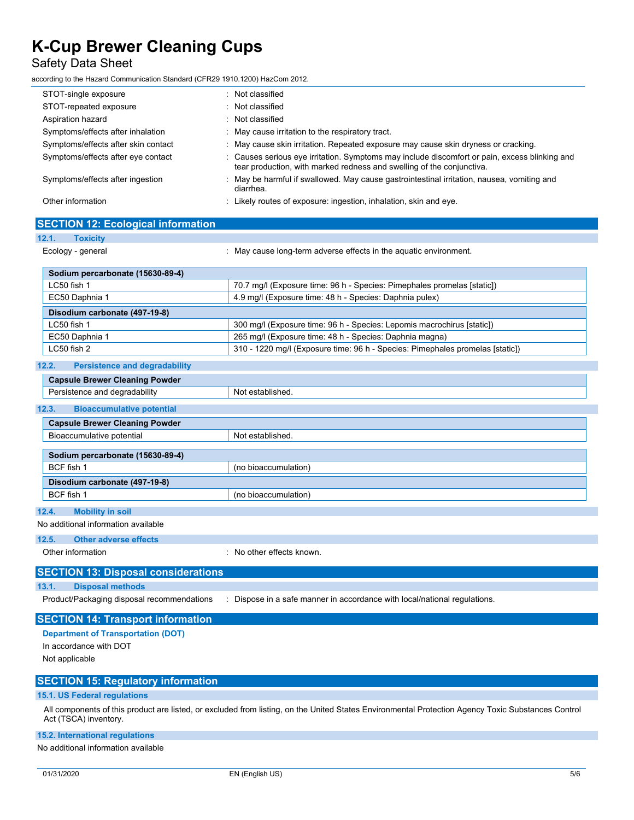**SECTION 12: Ecological information**

### Safety Data Sheet

according to the Hazard Communication Standard (CFR29 1910.1200) HazCom 2012.

| STOT-single exposure                | Not classified<br>$\sim$                                                                                                                                               |
|-------------------------------------|------------------------------------------------------------------------------------------------------------------------------------------------------------------------|
| STOT-repeated exposure              | Not classified                                                                                                                                                         |
| Aspiration hazard                   | : Not classified                                                                                                                                                       |
| Symptoms/effects after inhalation   | May cause irritation to the respiratory tract.                                                                                                                         |
| Symptoms/effects after skin contact | May cause skin irritation. Repeated exposure may cause skin dryness or cracking.                                                                                       |
| Symptoms/effects after eye contact  | : Causes serious eye irritation. Symptoms may include discomfort or pain, excess blinking and<br>tear production, with marked redness and swelling of the conjunctiva. |
| Symptoms/effects after ingestion    | May be harmful if swallowed. May cause gastrointestinal irritation, nausea, vomiting and<br>diarrhea.                                                                  |
| Other information                   | Likely routes of exposure: ingestion, inhalation, skin and eye.                                                                                                        |
|                                     |                                                                                                                                                                        |

| 12.1.<br><b>Toxicity</b>                      |                                                                               |
|-----------------------------------------------|-------------------------------------------------------------------------------|
| Ecology - general                             | : May cause long-term adverse effects in the aquatic environment.             |
| Sodium percarbonate (15630-89-4)              |                                                                               |
| LC50 fish 1                                   | 70.7 mg/l (Exposure time: 96 h - Species: Pimephales promelas [static])       |
| EC50 Daphnia 1                                | 4.9 mg/l (Exposure time: 48 h - Species: Daphnia pulex)                       |
| Disodium carbonate (497-19-8)                 |                                                                               |
| LC50 fish 1                                   | 300 mg/l (Exposure time: 96 h - Species: Lepomis macrochirus [static])        |
| EC50 Daphnia 1                                | 265 mg/l (Exposure time: 48 h - Species: Daphnia magna)                       |
| LC50 fish 2                                   | 310 - 1220 mg/l (Exposure time: 96 h - Species: Pimephales promelas [static]) |
| 12.2.<br><b>Persistence and degradability</b> |                                                                               |
| <b>Capsule Brewer Cleaning Powder</b>         |                                                                               |
| Persistence and degradability                 | Not established.                                                              |
| 12.3.<br><b>Bioaccumulative potential</b>     |                                                                               |
| <b>Capsule Brewer Cleaning Powder</b>         |                                                                               |
| Bioaccumulative potential                     | Not established.                                                              |
| Sodium percarbonate (15630-89-4)              |                                                                               |
| BCF fish 1                                    | (no bioaccumulation)                                                          |
| Disodium carbonate (497-19-8)                 |                                                                               |
| BCF fish 1                                    | (no bioaccumulation)                                                          |
| 12.4.<br><b>Mobility in soil</b>              |                                                                               |
| No additional information available           |                                                                               |
| 12.5.<br><b>Other adverse effects</b>         |                                                                               |
| Other information                             | : No other effects known.                                                     |
| <b>SECTION 13: Disposal considerations</b>    |                                                                               |
| <b>Disposal methods</b><br>13.1.              |                                                                               |
| Product/Packaging disposal recommendations    | : Dispose in a safe manner in accordance with local/national regulations.     |
| <b>SECTION 14: Transport information</b>      |                                                                               |
| <b>Department of Transportation (DOT)</b>     |                                                                               |
| In accordance with DOT                        |                                                                               |
| Not applicable                                |                                                                               |
| <b>SECTION 15: Regulatory information</b>     |                                                                               |

### **15.1. US Federal regulations**

All components of this product are listed, or excluded from listing, on the United States Environmental Protection Agency Toxic Substances Control Act (TSCA) inventory.

### **15.2. International regulations**

No additional information available